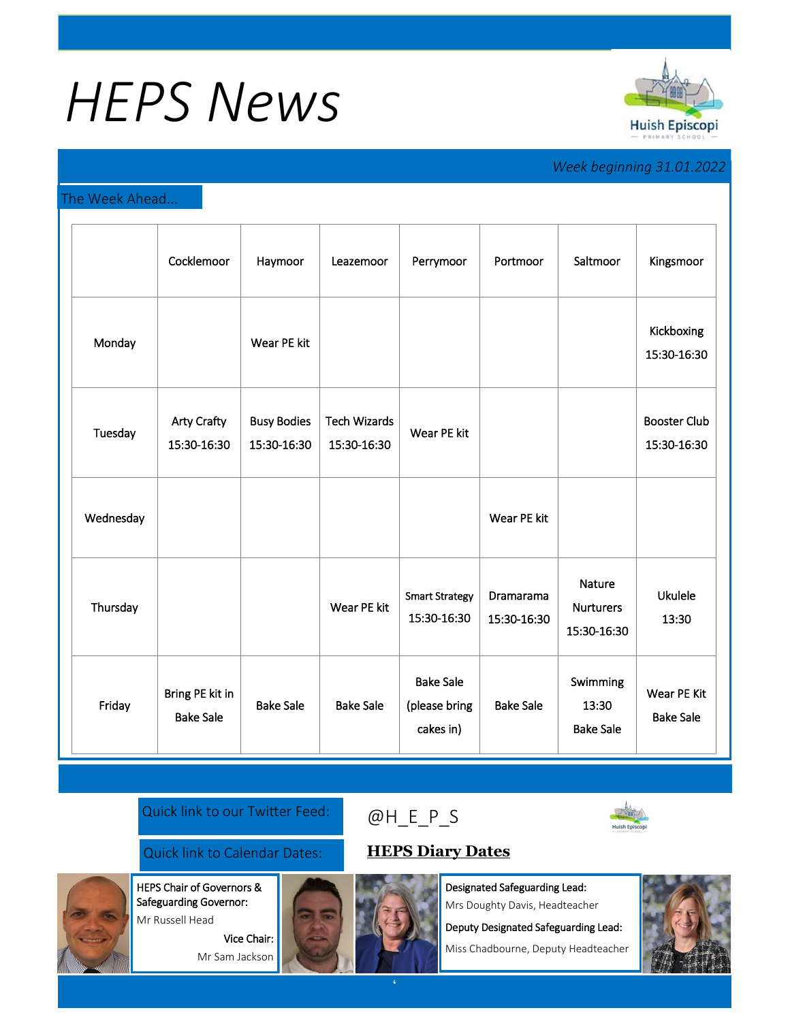# *HEPS News*



## *Week beginning 31.01.2022*

#### The Week Ahead...

|           | Cocklemoor                          | Haymoor                           | Leazemoor                          | Perrymoor                                      | Portmoor                 | Saltmoor                                  | Kingsmoor                          |
|-----------|-------------------------------------|-----------------------------------|------------------------------------|------------------------------------------------|--------------------------|-------------------------------------------|------------------------------------|
| Monday    |                                     | Wear PE kit                       |                                    |                                                |                          |                                           | Kickboxing<br>15:30-16:30          |
| Tuesday   | <b>Arty Crafty</b><br>15:30-16:30   | <b>Busy Bodies</b><br>15:30-16:30 | <b>Tech Wizards</b><br>15:30-16:30 | Wear PE kit                                    |                          |                                           | <b>Booster Club</b><br>15:30-16:30 |
| Wednesday |                                     |                                   |                                    |                                                | Wear PE kit              |                                           |                                    |
| Thursday  |                                     |                                   | Wear PE kit                        | <b>Smart Strategy</b><br>15:30-16:30           | Dramarama<br>15:30-16:30 | Nature<br><b>Nurturers</b><br>15:30-16:30 | <b>Ukulele</b><br>13:30            |
| Friday    | Bring PE kit in<br><b>Bake Sale</b> | <b>Bake Sale</b>                  | <b>Bake Sale</b>                   | <b>Bake Sale</b><br>(please bring<br>cakes in) | <b>Bake Sale</b>         | Swimming<br>13:30<br><b>Bake Sale</b>     | Wear PE Kit<br><b>Bake Sale</b>    |

#### Quick link to our Twitter Feed:

### Quick link to Calendar Dates: **[HEPS Diary Dates](https://huishepiscopiprimary.co.uk/diary-dates/)**

Safeguarding Governor: Mr Russell Head

HEPS Chair of Governors &

Vice Chair: Mr Sam Jackson



[@H\\_E\\_](https://huishepiscopiprimary.co.uk/diary-dates/)P\_S

Designated Safeguarding Lead: Mrs Doughty Davis, Headteacher

Deputy Designated Safeguarding Lead:

Miss Chadbourne, Deputy Headteacher